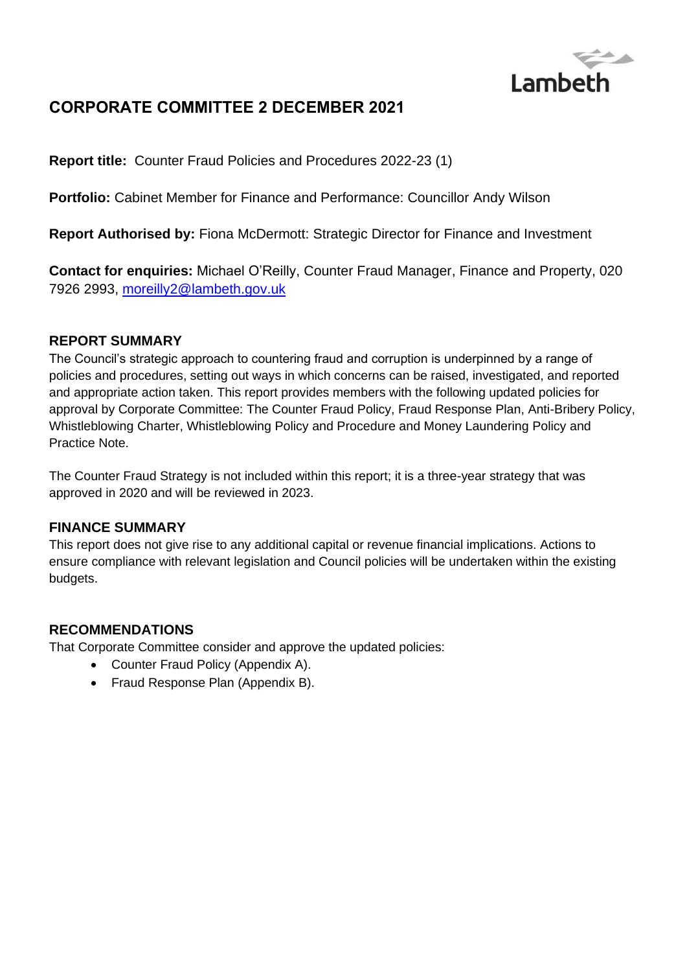

# **CORPORATE COMMITTEE 2 DECEMBER 2021**

**Report title:** Counter Fraud Policies and Procedures 2022-23 (1)

**Portfolio:** Cabinet Member for Finance and Performance: Councillor Andy Wilson

**Report Authorised by:** Fiona McDermott: Strategic Director for Finance and Investment

**Contact for enquiries:** Michael O'Reilly, Counter Fraud Manager, Finance and Property, 020 7926 2993, [moreilly2@lambeth.gov.uk](mailto:moreilly2@lambeth.gov.uk)

#### **REPORT SUMMARY**

The Council's strategic approach to countering fraud and corruption is underpinned by a range of policies and procedures, setting out ways in which concerns can be raised, investigated, and reported and appropriate action taken. This report provides members with the following updated policies for approval by Corporate Committee: The Counter Fraud Policy, Fraud Response Plan, Anti-Bribery Policy, Whistleblowing Charter, Whistleblowing Policy and Procedure and Money Laundering Policy and Practice Note.

The Counter Fraud Strategy is not included within this report; it is a three-year strategy that was approved in 2020 and will be reviewed in 2023.

#### **FINANCE SUMMARY**

This report does not give rise to any additional capital or revenue financial implications. Actions to ensure compliance with relevant legislation and Council policies will be undertaken within the existing budgets.

#### **RECOMMENDATIONS**

That Corporate Committee consider and approve the updated policies:

- Counter Fraud Policy (Appendix A).
- Fraud Response Plan (Appendix B).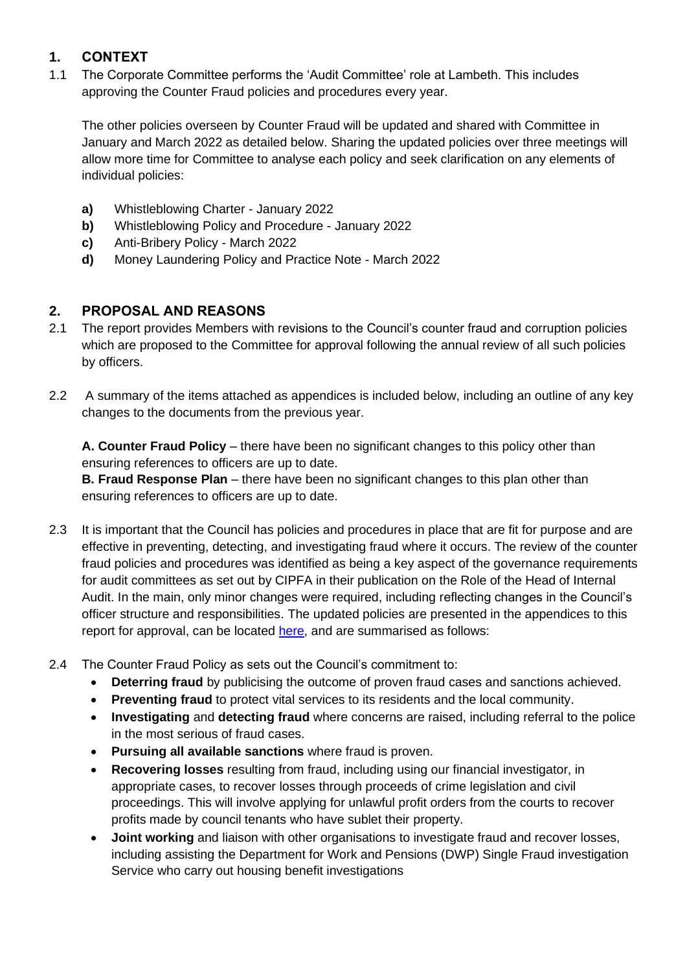# **1. CONTEXT**

1.1 The Corporate Committee performs the 'Audit Committee' role at Lambeth. This includes approving the Counter Fraud policies and procedures every year.

The other policies overseen by Counter Fraud will be updated and shared with Committee in January and March 2022 as detailed below. Sharing the updated policies over three meetings will allow more time for Committee to analyse each policy and seek clarification on any elements of individual policies:

- **a)** Whistleblowing Charter January 2022
- **b)** Whistleblowing Policy and Procedure January 2022
- **c)** Anti-Bribery Policy March 2022
- **d)** Money Laundering Policy and Practice Note March 2022

## **2. PROPOSAL AND REASONS**

- 2.1 The report provides Members with revisions to the Council's counter fraud and corruption policies which are proposed to the Committee for approval following the annual review of all such policies by officers.
- 2.2 A summary of the items attached as appendices is included below, including an outline of any key changes to the documents from the previous year.

**A. Counter Fraud Policy** – there have been no significant changes to this policy other than ensuring references to officers are up to date.

**B. Fraud Response Plan** – there have been no significant changes to this plan other than ensuring references to officers are up to date.

- 2.3 It is important that the Council has policies and procedures in place that are fit for purpose and are effective in preventing, detecting, and investigating fraud where it occurs. The review of the counter fraud policies and procedures was identified as being a key aspect of the governance requirements for audit committees as set out by CIPFA in their publication on the Role of the Head of Internal Audit. In the main, only minor changes were required, including reflecting changes in the Council's officer structure and responsibilities. The updated policies are presented in the appendices to this report for approval, can be located [here,](https://moderngov.lambeth.gov.uk/ieIssueDetails.aspx?IId=64298&PlanId=0&Opt=3#AI49744) and are summarised as follows:
- 2.4 The Counter Fraud Policy as sets out the Council's commitment to:
	- **Deterring fraud** by publicising the outcome of proven fraud cases and sanctions achieved.
	- **Preventing fraud** to protect vital services to its residents and the local community.
	- **Investigating** and **detecting fraud** where concerns are raised, including referral to the police in the most serious of fraud cases.
	- **Pursuing all available sanctions** where fraud is proven.
	- **Recovering losses** resulting from fraud, including using our financial investigator, in appropriate cases, to recover losses through proceeds of crime legislation and civil proceedings. This will involve applying for unlawful profit orders from the courts to recover profits made by council tenants who have sublet their property.
	- **Joint working** and liaison with other organisations to investigate fraud and recover losses, including assisting the Department for Work and Pensions (DWP) Single Fraud investigation Service who carry out housing benefit investigations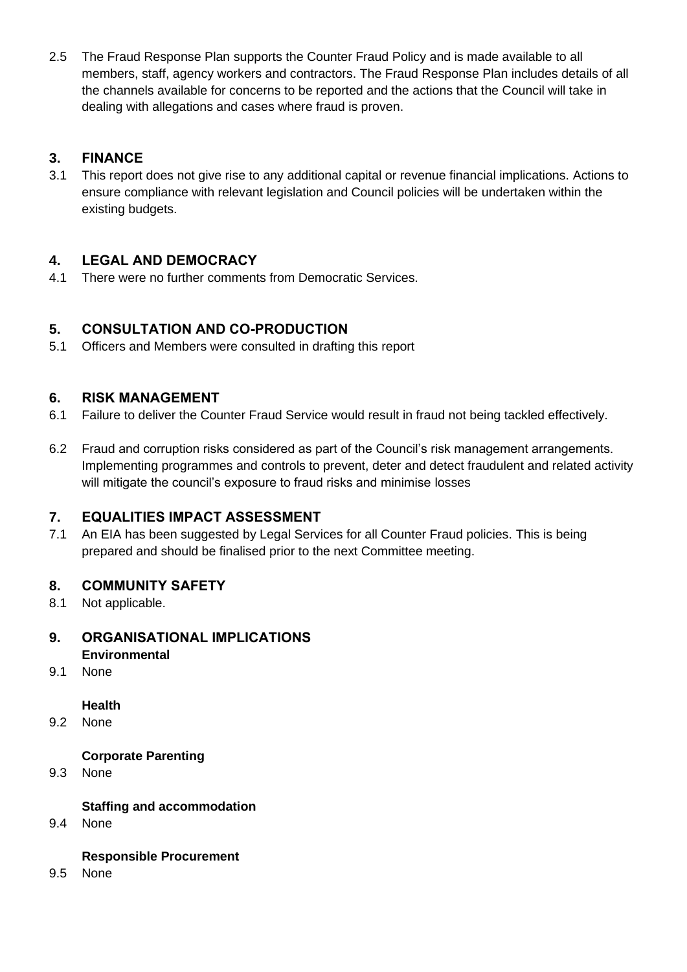2.5 The Fraud Response Plan supports the Counter Fraud Policy and is made available to all members, staff, agency workers and contractors. The Fraud Response Plan includes details of all the channels available for concerns to be reported and the actions that the Council will take in dealing with allegations and cases where fraud is proven.

# **3. FINANCE**

3.1 This report does not give rise to any additional capital or revenue financial implications. Actions to ensure compliance with relevant legislation and Council policies will be undertaken within the existing budgets.

## **4. LEGAL AND DEMOCRACY**

4.1 There were no further comments from Democratic Services.

## **5. CONSULTATION AND CO-PRODUCTION**

5.1 Officers and Members were consulted in drafting this report

## **6. RISK MANAGEMENT**

- 6.1 Failure to deliver the Counter Fraud Service would result in fraud not being tackled effectively.
- 6.2 Fraud and corruption risks considered as part of the Council's risk management arrangements. Implementing programmes and controls to prevent, deter and detect fraudulent and related activity will mitigate the council's exposure to fraud risks and minimise losses

## **7. EQUALITIES IMPACT ASSESSMENT**

7.1 An EIA has been suggested by Legal Services for all Counter Fraud policies. This is being prepared and should be finalised prior to the next Committee meeting.

## **8. COMMUNITY SAFETY**

8.1 Not applicable.

#### **9. ORGANISATIONAL IMPLICATIONS Environmental**

9.1 None

#### **Health**

9.2 None

## **Corporate Parenting**

9.3 None

## **Staffing and accommodation**

9.4 None

#### **Responsible Procurement**

9.5 None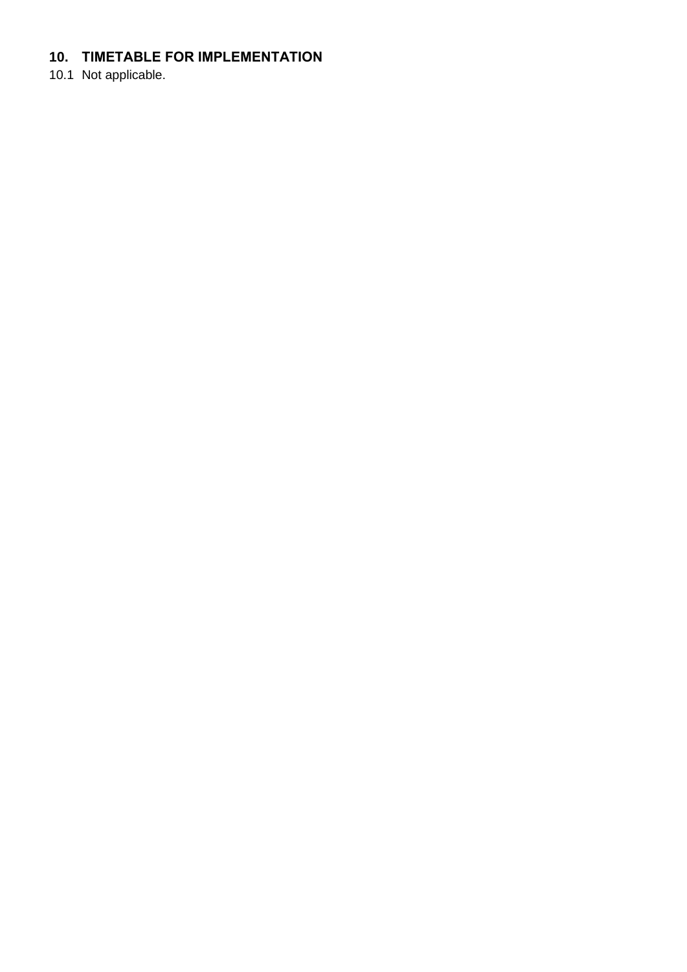# **10. TIMETABLE FOR IMPLEMENTATION**

10.1 Not applicable.